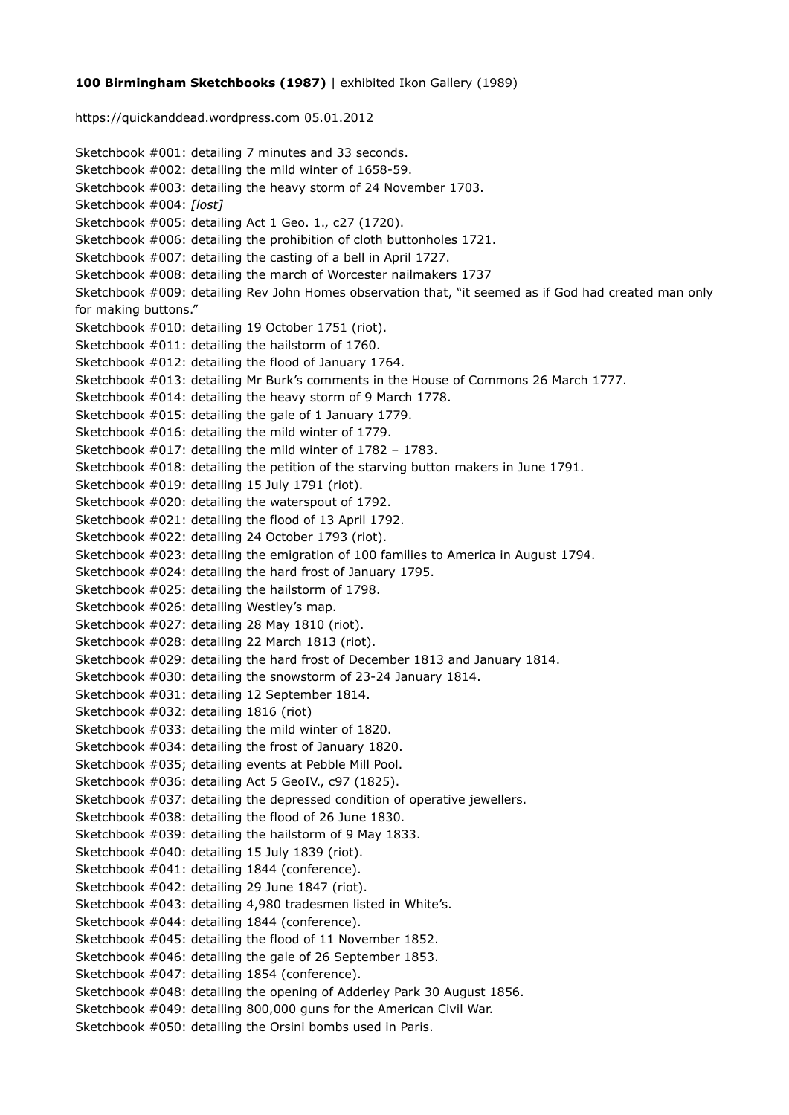## **100 Birmingham Sketchbooks (1987)** | exhibited Ikon Gallery (1989)

## <https://quickanddead.wordpress.com> 05.01.2012

Sketchbook #001: detailing 7 minutes and 33 seconds. Sketchbook #002: detailing the mild winter of 1658-59. Sketchbook #003: detailing the heavy storm of 24 November 1703. Sketchbook #004: *[lost]* Sketchbook #005: detailing Act 1 Geo. 1., c27 (1720). Sketchbook #006: detailing the prohibition of cloth buttonholes 1721. Sketchbook #007: detailing the casting of a bell in April 1727. Sketchbook #008: detailing the march of Worcester nailmakers 1737 Sketchbook #009: detailing Rev John Homes observation that, "it seemed as if God had created man only for making buttons." Sketchbook #010: detailing 19 October 1751 (riot). Sketchbook #011: detailing the hailstorm of 1760. Sketchbook #012: detailing the flood of January 1764. Sketchbook #013: detailing Mr Burk's comments in the House of Commons 26 March 1777. Sketchbook #014: detailing the heavy storm of 9 March 1778. Sketchbook #015: detailing the gale of 1 January 1779. Sketchbook #016: detailing the mild winter of 1779. Sketchbook #017: detailing the mild winter of 1782 – 1783. Sketchbook #018: detailing the petition of the starving button makers in June 1791. Sketchbook #019: detailing 15 July 1791 (riot). Sketchbook #020: detailing the waterspout of 1792. Sketchbook #021: detailing the flood of 13 April 1792. Sketchbook #022: detailing 24 October 1793 (riot). Sketchbook #023: detailing the emigration of 100 families to America in August 1794. Sketchbook #024: detailing the hard frost of January 1795. Sketchbook #025: detailing the hailstorm of 1798. Sketchbook #026: detailing Westley's map. Sketchbook #027: detailing 28 May 1810 (riot). Sketchbook #028: detailing 22 March 1813 (riot). Sketchbook #029: detailing the hard frost of December 1813 and January 1814. Sketchbook #030: detailing the snowstorm of 23-24 January 1814. Sketchbook #031: detailing 12 September 1814. Sketchbook #032: detailing 1816 (riot) Sketchbook #033: detailing the mild winter of 1820. Sketchbook #034: detailing the frost of January 1820. Sketchbook #035; detailing events at Pebble Mill Pool. Sketchbook #036: detailing Act 5 GeoIV., c97 (1825). Sketchbook #037: detailing the depressed condition of operative jewellers. Sketchbook #038: detailing the flood of 26 June 1830. Sketchbook #039: detailing the hailstorm of 9 May 1833. Sketchbook #040: detailing 15 July 1839 (riot). Sketchbook #041: detailing 1844 (conference). Sketchbook #042: detailing 29 June 1847 (riot). Sketchbook #043: detailing 4,980 tradesmen listed in White's. Sketchbook #044: detailing 1844 (conference). Sketchbook #045: detailing the flood of 11 November 1852. Sketchbook #046: detailing the gale of 26 September 1853. Sketchbook #047: detailing 1854 (conference). Sketchbook #048: detailing the opening of Adderley Park 30 August 1856. Sketchbook #049: detailing 800,000 guns for the American Civil War. Sketchbook #050: detailing the Orsini bombs used in Paris.